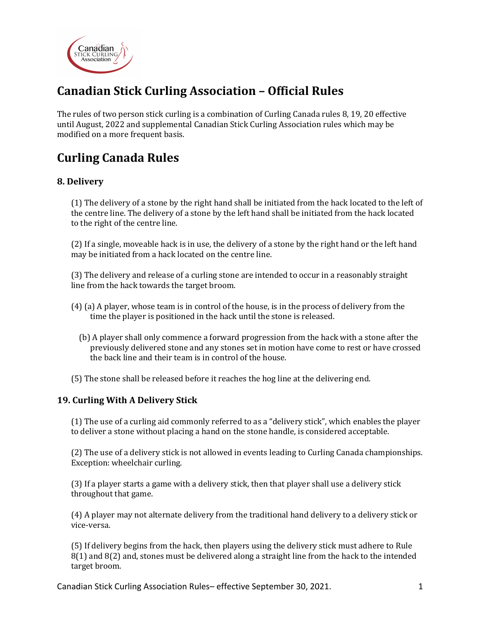

# **Canadian Stick Curling Association – Official Rules**

The rules of two person stick curling is a combination of Curling Canada rules 8, 19, 20 effective until August, 2022 and supplemental Canadian Stick Curling Association rules which may be modified on a more frequent basis.

# **Curling Canada Rules**

## **8. Delivery**

(1) The delivery of a stone by the right hand shall be initiated from the hack located to the left of the centre line. The delivery of a stone by the left hand shall be initiated from the hack located to the right of the centre line.

(2) If a single, moveable hack is in use, the delivery of a stone by the right hand or the left hand may be initiated from a hack located on the centre line.

(3) The delivery and release of a curling stone are intended to occur in a reasonably straight line from the hack towards the target broom.

- (4) (a) A player, whose team is in control of the house, is in the process of delivery from the time the player is positioned in the hack until the stone is released.
	- (b) A player shall only commence a forward progression from the hack with a stone after the previously delivered stone and any stones set in motion have come to rest or have crossed the back line and their team is in control of the house.
- (5) The stone shall be released before it reaches the hog line at the delivering end.

## **19. Curling With A Delivery Stick**

(1) The use of a curling aid commonly referred to as a "delivery stick", which enables the player to deliver a stone without placing a hand on the stone handle, is considered acceptable.

(2) The use of a delivery stick is not allowed in events leading to Curling Canada championships. Exception: wheelchair curling.

(3) If a player starts a game with a delivery stick, then that player shall use a delivery stick throughout that game.

(4) A player may not alternate delivery from the traditional hand delivery to a delivery stick or vice-versa. 

(5) If delivery begins from the hack, then players using the delivery stick must adhere to Rule  $8(1)$  and  $8(2)$  and, stones must be delivered along a straight line from the hack to the intended target broom.

Canadian Stick Curling Association Rules– effective September 30, 2021. 1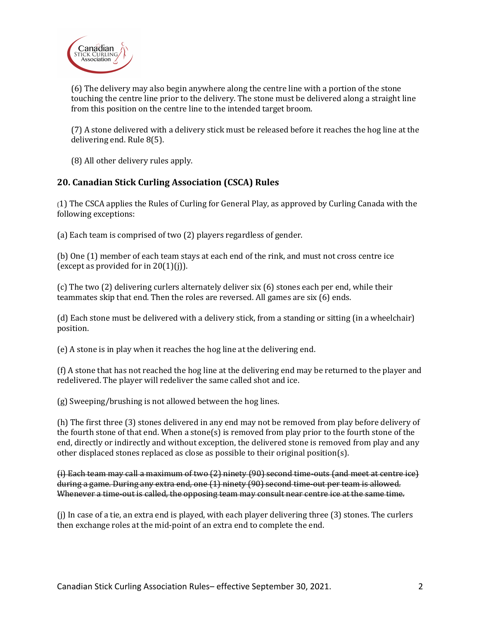

(6) The delivery may also begin anywhere along the centre line with a portion of the stone touching the centre line prior to the delivery. The stone must be delivered along a straight line from this position on the centre line to the intended target broom.

(7) A stone delivered with a delivery stick must be released before it reaches the hog line at the delivering end. Rule 8(5).

(8) All other delivery rules apply.

## **20. Canadian Stick Curling Association (CSCA) Rules**

(1) The CSCA applies the Rules of Curling for General Play, as approved by Curling Canada with the following exceptions:

(a) Each team is comprised of two (2) players regardless of gender.

(b) One (1) member of each team stays at each end of the rink, and must not cross centre ice (except as provided for in  $20(1)(j)$ ).

(c) The two (2) delivering curlers alternately deliver six (6) stones each per end, while their teammates skip that end. Then the roles are reversed. All games are six  $(6)$  ends.

(d) Each stone must be delivered with a delivery stick, from a standing or sitting (in a wheelchair) position. 

(e) A stone is in play when it reaches the hog line at the delivering end.

(f) A stone that has not reached the hog line at the delivering end may be returned to the player and redelivered. The player will redeliver the same called shot and ice.

 $(g)$  Sweeping/brushing is not allowed between the hog lines.

(h) The first three (3) stones delivered in any end may not be removed from play before delivery of the fourth stone of that end. When a stone(s) is removed from play prior to the fourth stone of the end, directly or indirectly and without exception, the delivered stone is removed from play and any other displaced stones replaced as close as possible to their original position(s).

(i) Each team may call a maximum of two  $(2)$  ninety  $(90)$  second time-outs (and meet at centre ice) during a game. During any extra end, one (1) ninety (90) second time-out per team is allowed. Whenever a time-out is called, the opposing team may consult near centre ice at the same time.

(j) In case of a tie, an extra end is played, with each player delivering three  $(3)$  stones. The curlers then exchange roles at the mid-point of an extra end to complete the end.